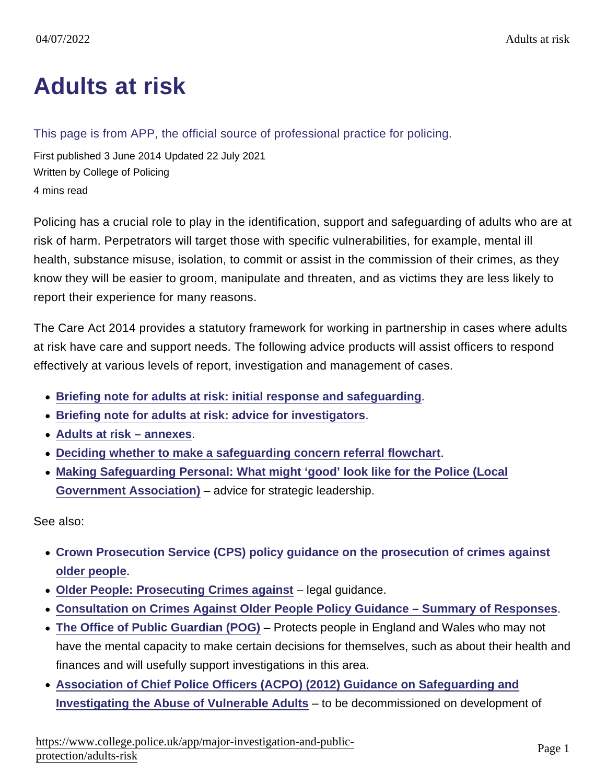## [Adults at risk](https://www.college.police.uk/app/major-investigation-and-public-protection/adults-risk)

## This page is from APP, the official source of professional practice for policing.

First published 3 June 2014 Updated 22 July 2021 Written by College of Policing 4 mins read

Policing has a crucial role to play in the identification, support and safeguarding of adults who are at risk of harm. Perpetrators will target those with specific vulnerabilities, for example, mental ill health, substance misuse, isolation, to commit or assist in the commission of their crimes, as they know they will be easier to groom, manipulate and threaten, and as victims they are less likely to report their experience for many reasons.

The Care Act 2014 provides a statutory framework for working in partnership in cases where adults at risk have care and support needs. The following advice products will assist officers to respond effectively at various levels of report, investigation and management of cases.

- [Briefing note for adults at risk: initial response and safeguarding](https://library.college.police.uk/docs/college-of-policing/Briefing-note-adults-at-risk-initial-response-2021.pdf)
- [Briefing note for adults at risk: advice for investigators](https://library.college.police.uk/docs/college-of-policing/Briefing-note-adults-at-risk-advice-for-investigators-2021.pdf)
- [Adults at risk annexes](https://library.college.police.uk/docs/college-of-policing/Adults-At-Risk-Annexes-2021.pdf) .
- [Deciding whether to make a safeguarding concern referral flowchart](https://assets.college.police.uk/s3fs-public/2022-04/Deciding-whether-you-need-to-make-a-safeguarding-concern-referral.pdf)
- [Making Safeguarding Personal: What might 'good' look like for the Police \(Local](https://www.local.gov.uk/sites/default/files/documents/25.29  CHIP Making Safeguarding Personal; What might ‘good’ look like for the Police_x3F_ _WEB.pdf) [Government Association\)](https://www.local.gov.uk/sites/default/files/documents/25.29 - CHIP Making Safeguarding Personal; What might ‘good’ look like for the Police_x3F_ _WEB.pdf) – advice for strategic leadership.

See also:

- [Crown Prosecution Service \(CPS\) policy guidance on the prosecution of crimes against](https://www.cps.gov.uk/publication/policy-guidance-prosecution-crimes-against-older-people-0) [older people](https://www.cps.gov.uk/publication/policy-guidance-prosecution-crimes-against-older-people-0) .
- [Older People: Prosecuting Crimes against](https://www.cps.gov.uk/legal-guidance/older-people-prosecuting-crimes-against)  legal guidance.
- [Consultation on Crimes Against Older People Policy Guidance Summary of Responses](https://www.cps.gov.uk/publication/consultation-crimes-against-older-people-policy-guidance-summary-responses) .
- [The Office of Public Guardian \(POG\)](https://www.gov.uk/government/organisations/office-of-the-public-guardian) Protects people in England and Wales who may not have the mental capacity to make certain decisions for themselves, such as about their health and finances and will usefully support investigations in this area.
- [Association of Chief Police Officers \(ACPO\) \(2012\) Guidance on Safeguarding and](https://library.college.police.uk/docs/acpo/vulnerable-adults-2012.pdf) [Investigating the Abuse of Vulnerable Adults](https://library.college.police.uk/docs/acpo/vulnerable-adults-2012.pdf) – to be decommissioned on development of